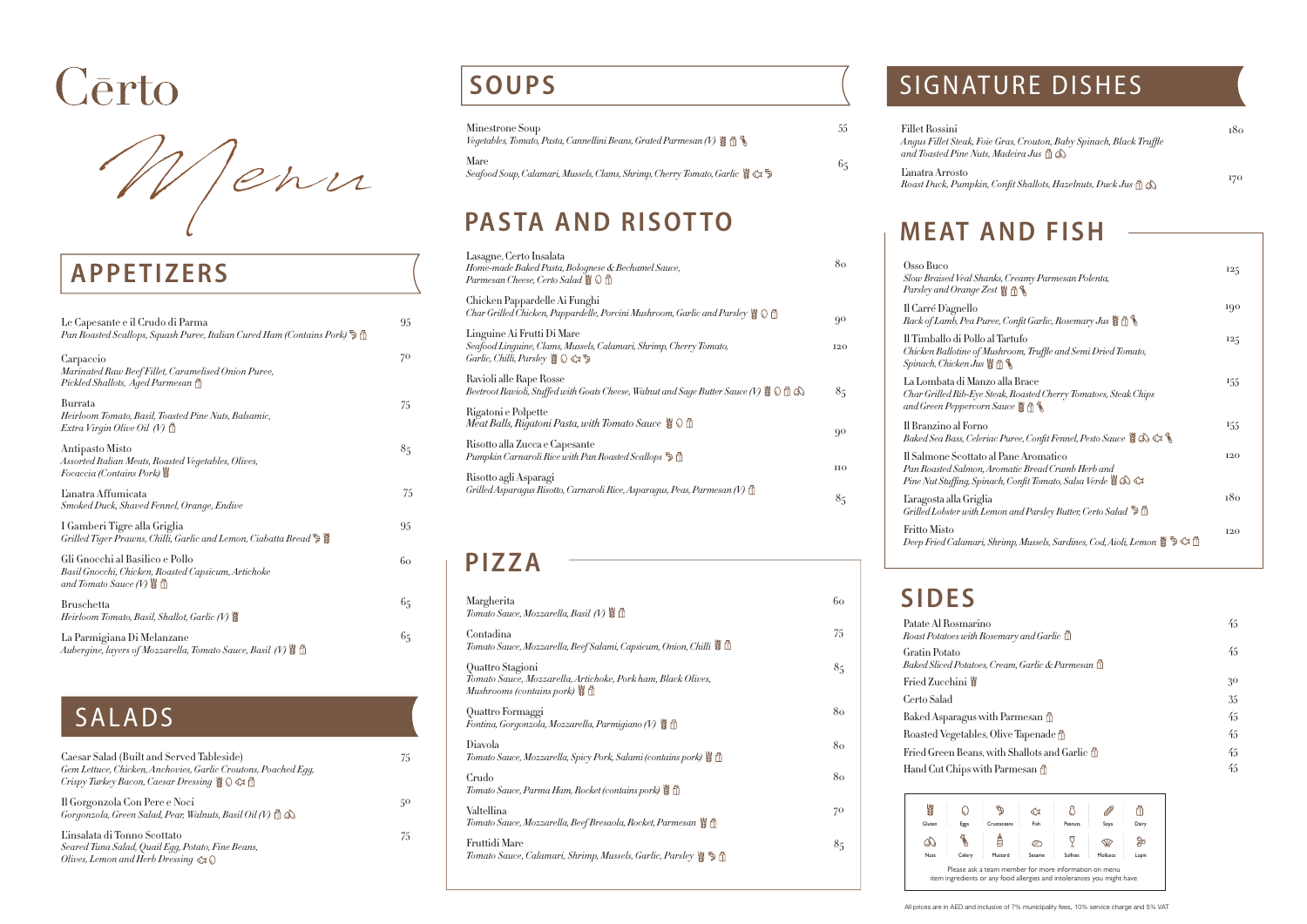| Caesar Salad (Built and Served Tableside)<br>Gem Lettuce, Chicken, Anchovies, Garlic Croutons, Poached Egg,<br>Crispy Turkey Bacon, Caesar Dressing $\{ \otimes \otimes \otimes \mathbb{R} \}$ |
|------------------------------------------------------------------------------------------------------------------------------------------------------------------------------------------------|
| Il Gorgonzola Con Pere e Noci<br>Gorgonzola, Green Salad, Pear, Walnuts, Basil Oil (V) $\mathbb{d} \otimes$                                                                                    |
| Einsalata di Tonno Scottato<br>Seared Tuna Salad, Quail Egg, Potato, Fine Beans,<br>Olives, Lemon and Herb Dressing $\otimes$                                                                  |

### **SOUPS**

| Le Capesante e il Crudo di Parma<br>Pan Roasted Scallops, Squash Puree, Italian Cured Ham (Contains Pork) $\mathfrak{\mathfrak{P}}$ $\mathbb{\hat{I}}$ | 95             |
|--------------------------------------------------------------------------------------------------------------------------------------------------------|----------------|
| Carpaccio<br>Marinated Raw Beef Fillet, Caramelised Onion Puree,<br>Pickled Shallots, Aged Parmesan $\hat{\mathbb{1}}$                                 | 70             |
| Burrata<br>Heirloom Tomato, Basil, Toasted Pine Nuts, Balsamic,<br>Extra Virgin Olive Oil (V) $\hbox{1\hskip -2.7pt\relax l}$                          | 75             |
| Antipasto Misto<br>Assorted Italian Meats, Roasted Vegetables, Olives,<br>Focaccia (Contains Pork) $\ddot{\ddot{\bf s}}$                               | 8 <sub>5</sub> |
| L'anatra Affumicata<br>Smoked Duck, Shaved Fennel, Orange, Endive                                                                                      | 75             |
| I Gamberi Tigre alla Griglia<br>Grilled Tiger Prawns, Chilli, Garlic and Lemon, Ciabatta Bread $\mathfrak{P} \, \mathsf{\S}$                           | 95             |
| Gli Gnocchi al Basilico e Pollo<br>Basil Gnocchi, Chicken, Roasted Capsicum, Artichoke<br>and Tomato Sauce (V) $\$\mathbb{\hat{\mathbb{D}}}$           | 60             |
| Bruschetta<br>Heirloom Tomato, Basil, Shallot, Garlic (V) $\frac{\omega}{\omega}$                                                                      | 65             |
| La Parmigiana Di Melanzane                                                                                                                             | 65             |

### SALADS

| Minestrone Soup<br>Vegetables, Tomato, Pasta, Cannellini Beans, Grated Parmesan (V) $\frac{16}{50}$ $\frac{2}{50}$ | $55-$ |
|--------------------------------------------------------------------------------------------------------------------|-------|
| Mare                                                                                                               | 65    |

### PASTA AND RISOTTO

| Margherita<br>Tomato Sauce, Mozzarella, Basil (V) 3 fl                                                                        | 60             |
|-------------------------------------------------------------------------------------------------------------------------------|----------------|
| Contadina<br>Tomato Sauce, Mozzarella, Beef Salami, Capsicum, Onion, Chilli                                                   | 75             |
| Quattro Stagioni<br>Tomato Sauce, Mozzarella, Artichoke, Pork ham, Black Olives,<br>Mushrooms (contains pork) $\frac{10}{36}$ | 85             |
| Quattro Formaggi<br>Fontina, Gorgonzola, Mozzarella, Parmigiano (V)                                                           | 80             |
| Diavola<br>Tomato Sauce, Mozzarella, Spicy Pork, Salami (contains pork) \{\                                                   | 80             |
| Crudo<br>Tomato Sauce, Parma Ham, Rocket (contains pork)                                                                      | 80             |
| Valtellina<br>Tomato Sauce, Mozzarella, Beef Bresaola, Rocket, Parmesan & 1                                                   | 70             |
| Fruttidi Mare<br>Tomato Sauce, Calamari, Shrimp, Mussels, Garlic, Parsley & D                                                 | 8 <sub>5</sub> |
|                                                                                                                               |                |

| Lasagne, Certo Insalata<br>Home-made Baked Pasta, Bolognese & Bechamel Sauce,<br>Parmesan Cheese, Certo Salad                                                | 80                            |
|--------------------------------------------------------------------------------------------------------------------------------------------------------------|-------------------------------|
| Chicken Pappardelle Ai Funghi<br>Char Grilled Chicken, Pappardelle, Porcini Mushroom, Garlic and Parsley $\bigcirc \bigcirc \bigcirc$                        | 90                            |
| Linguine Ai Frutti Di Mare<br>Seafood Linguine, Clams, Mussels, Calamari, Shrimp, Cherry Tomato,<br><i>Garlic, Chilli, Parsley</i> $\otimes \otimes \otimes$ | 120                           |
| Ravioli alle Rape Rosse<br>Beetroot Ravioli, Stuffed with Goats Cheese, Walnut and Sage Butter Sauce (V) $\frac{100}{30} \bigcirc$                           | 85                            |
| Rigatoni e Polpette<br>Meat Balls, Rigatoni Pasta, with Tomato Sauce $\mathcal{G} \odot \mathcal{D}$                                                         | 90                            |
| Risotto alla Zucca e Capesante<br>Pumpkin Carnaroli Rice with Pan Roasted Scallops $\mathfrak{F}$ $\mathfrak{m}$                                             |                               |
| Risotto agli Asparagi<br>Grilled Asparagus Risotto, Carnaroli Rice, Asparagus, Peas, Parmesan (V) [                                                          | $_{\rm HO}$<br>8 <sub>5</sub> |

### **PIZZA**

| Fillet Rossini<br>Angus Fillet Steak, Foie Gras, Crouton, Baby Spinach, Black Truffle<br>and Toasted Pine Nuts, Madeira Jus $\mathbb{\hat{D}}$ $\mathbb{\hat{D}}$ | 180 |
|-------------------------------------------------------------------------------------------------------------------------------------------------------------------|-----|
| L'anatra Arrosto<br>Roast Duck, Pumpkin, Confit Shallots, Hazelnuts, Duck Jus $\mathbb{\hat{a}}$                                                                  | 170 |

## **MEAT AND FISH**

| Osso Buco<br>Slow Braised Veal Shanks, Creamy Parmesan Polenta,<br>Parsley and Orange Zest 豐 A                                                                  | 125 |
|-----------------------------------------------------------------------------------------------------------------------------------------------------------------|-----|
| Il Carré D'agnello<br>Rack of Lamb, Pea Puree, Confit Garlic, Rosemary Jus $\frac{\omega}{\omega} \mathbb{R}^\mathbb{N}$                                        | 190 |
| Il Timballo di Pollo al Tartufo<br>Chicken Ballotine of Mushroom, Truffle and Semi Dried Tomato,<br>Spinach, Chicken Jus $\frac{100}{30}$                       | 125 |
| La Lombata di Manzo alla Brace<br>Char Grilled Rib-Eye Steak, Roasted Cherry Tomatoes, Steak Chips<br>and Green Peppercorn Sauce $\frac{18}{36}$ $\frac{1}{10}$ | 155 |
| Il Branzino al Forno<br>Baked Sea Bass, Celeriac Puree, Confit Fennel, Pesto Sauce $\mathcal{S} \otimes \mathcal{S}$                                            | 155 |
| Il Salmone Scottato al Pane Aromatico<br>Pan Roasted Salmon, Aromatic Bread Crumb Herb and<br>Pine Nut Stuffing, Spinach, Confit Tomato, Salsa Verde & & &      | 120 |
| L'aragosta alla Griglia<br>Grilled Lobster with Lemon and Parsley Butter, Certo Salad $\mathcal{L}$                                                             | 180 |
| <b>Fritto Misto</b><br>Deep Fried Calamari, Shrimp, Mussels, Sardines, Cod, Aioli, Lemon $\frac{\omega}{\omega} \to \infty$ A                                   | 120 |

### **SIDES**

| Patate Al Rosmarino<br>Roast Potatoes with Rosemary and Garlic $\mathbb D$   | 45 |
|------------------------------------------------------------------------------|----|
| Gratin Potato<br>Baked Sliced Potatoes, Cream, Garlic & Parmesan $\mathbb I$ | 45 |
| Fried Zucchini                                                               | 30 |
| Certo Salad                                                                  | 35 |
| Baked Asparagus with Parmesan fl                                             | 45 |
| Roasted Vegetables, Olive Tapenade fl                                        | 45 |
| Fried Green Beans, with Shallots and Garlic $\mathbb{\hat{D}}$               | 45 |
| Hand Cut Chips with Parmesan f                                               | 45 |
|                                                                              |    |

# Cērto

Menu

### **APPETIZERS**

75

50

75

All prices are in AED and inclusive of 7% municipality fees, 10% service charge and 5% VAT



### SIGNATURE DISHES